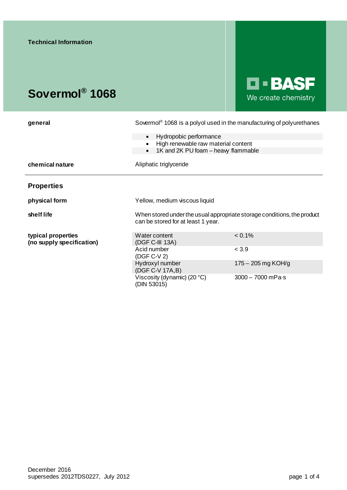# **Sovermol® 1068**



| general                                         | Sovermol <sup>®</sup> 1068 is a polyol used in the manufacturing of polyurethanes                             |                             |
|-------------------------------------------------|---------------------------------------------------------------------------------------------------------------|-----------------------------|
|                                                 | Hydropobic performance<br>$\bullet$                                                                           |                             |
|                                                 | High renewable raw material content<br>1K and 2K PU foam - heavy flammable<br>$\bullet$                       |                             |
| chemical nature                                 | Aliphatic triglyceride                                                                                        |                             |
| <b>Properties</b>                               |                                                                                                               |                             |
| physical form                                   | Yellow, medium viscous liquid                                                                                 |                             |
| shelf life                                      | When stored under the usual appropriate storage conditions, the product<br>can be stored for at least 1 year. |                             |
| typical properties<br>(no supply specification) | Water content<br>(DGF C-III 13A)                                                                              | $< 0.1\%$                   |
|                                                 | Acid number<br>(DGF C-V 2)                                                                                    | < 3.9                       |
|                                                 | Hydroxyl number<br>(DGF C-V 17A, B)                                                                           | $175 - 205$ mg KOH/g        |
|                                                 | Viscosity (dynamic) (20 $°C$ )<br>(DIN 53015)                                                                 | $3000 - 7000$ mPa $\cdot$ s |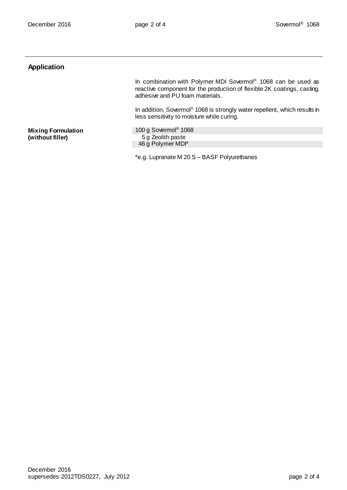## **Application**

In combination with Polymer MDI Sovermol® 1068 can be used as reactive component for the production of flexible 2K coatings, casting, adhesive and PU foam materials.

In addition, Sovermol® 1068 is strongly water repellent, which results in less sensitivity to moisture while curing.

**Mixing Formulation (without filler)**

100 g Sovermol® 1068 5 g Zeolith paste 46 g Polymer MDI\*

\*e.g. Lupranate M 20 S – BASF Polyurethanes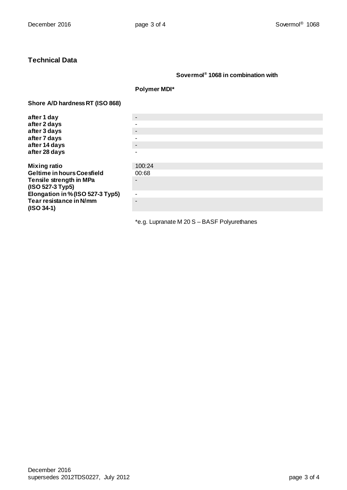## **Technical Data**

#### **Sovermol® 1068 in combination with**

#### **Polymer MDI\***

#### **Shore A/D hardness RT (ISO 868)**

| after 1 day                       | $\blacksquare$           |
|-----------------------------------|--------------------------|
| after 2 days                      |                          |
| after 3 days                      | $\blacksquare$           |
| after 7 days                      |                          |
| after 14 days                     | $\blacksquare$           |
| after 28 days                     | $\overline{\phantom{0}}$ |
|                                   |                          |
| <b>Mixing ratio</b>               | 100:24                   |
| <b>Geltime in hours Coesfield</b> | 00:68                    |
| Tensile strength in MPa           |                          |
| (ISO 527-3 Typ5)                  |                          |
| Elongation in % (ISO 527-3 Typ5)  | $\overline{\phantom{0}}$ |
| Tear resistance in N/mm           | $\overline{\phantom{0}}$ |
| $(ISO 34-1)$                      |                          |
|                                   |                          |

\*e.g. Lupranate M 20 S – BASF Polyurethanes